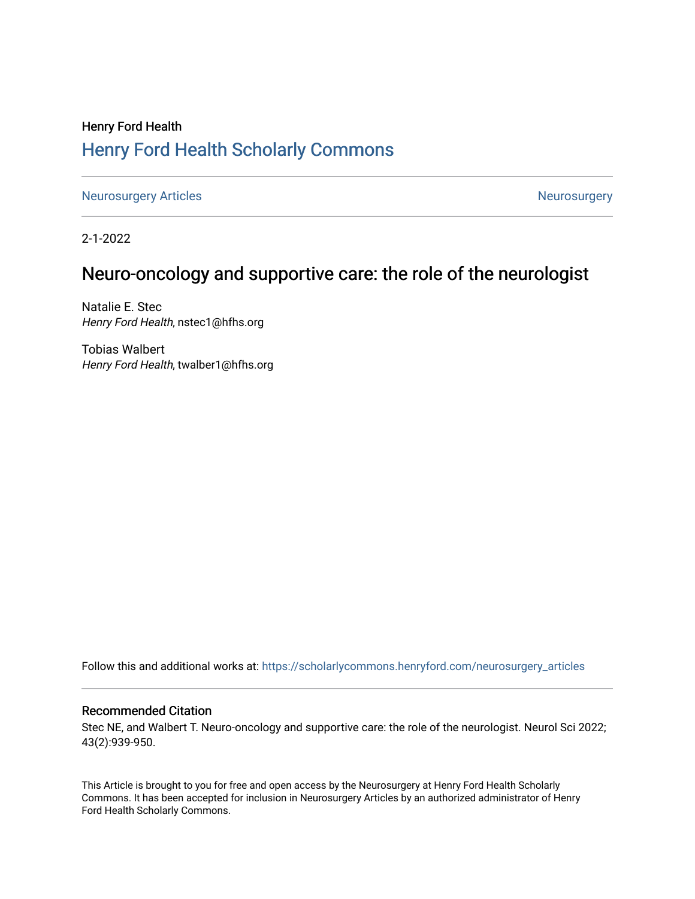# Henry Ford Health [Henry Ford Health Scholarly Commons](https://scholarlycommons.henryford.com/)

[Neurosurgery Articles](https://scholarlycommons.henryford.com/neurosurgery_articles) **Neurosurgery** Neurosurgery

2-1-2022

# Neuro-oncology and supportive care: the role of the neurologist

Natalie E. Stec Henry Ford Health, nstec1@hfhs.org

Tobias Walbert Henry Ford Health, twalber1@hfhs.org

Follow this and additional works at: [https://scholarlycommons.henryford.com/neurosurgery\\_articles](https://scholarlycommons.henryford.com/neurosurgery_articles?utm_source=scholarlycommons.henryford.com%2Fneurosurgery_articles%2F435&utm_medium=PDF&utm_campaign=PDFCoverPages) 

### Recommended Citation

Stec NE, and Walbert T. Neuro-oncology and supportive care: the role of the neurologist. Neurol Sci 2022; 43(2):939-950.

This Article is brought to you for free and open access by the Neurosurgery at Henry Ford Health Scholarly Commons. It has been accepted for inclusion in Neurosurgery Articles by an authorized administrator of Henry Ford Health Scholarly Commons.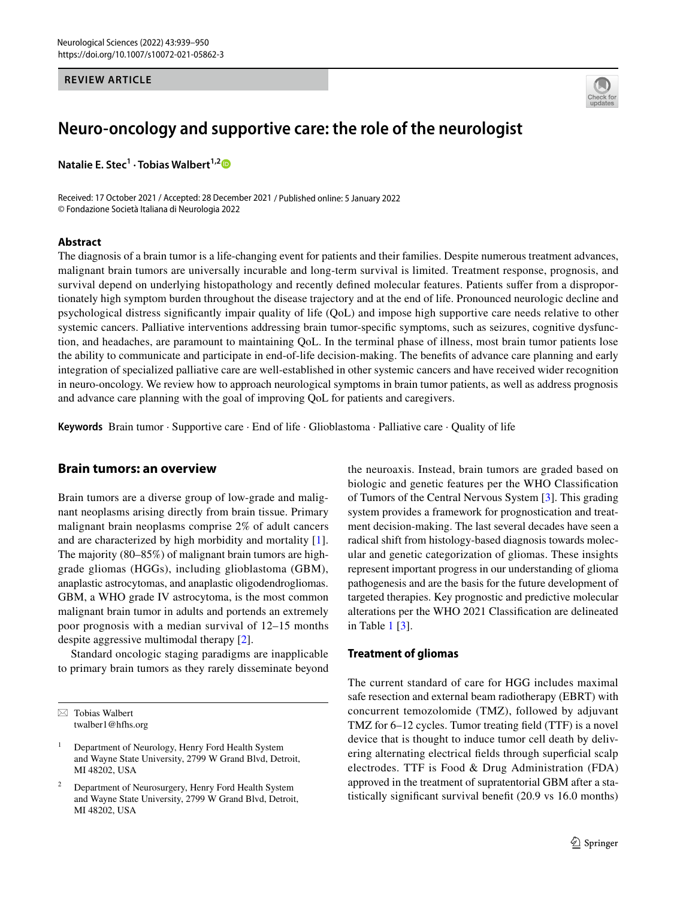#### **REVIEW ARTICLE**



# **Neuro‑oncology and supportive care: the role of the neurologist**

**Natalie E. Stec<sup>1</sup> · Tobias Walbert<sup>1,[2](http://orcid.org/0000-0003-0667-8106)</sup>** 

Received: 17 October 2021 / Accepted: 28 December 2021 / Published online: 5 January 2022 © Fondazione Società Italiana di Neurologia 2022

#### **Abstract**

The diagnosis of a brain tumor is a life-changing event for patients and their families. Despite numerous treatment advances, malignant brain tumors are universally incurable and long-term survival is limited. Treatment response, prognosis, and survival depend on underlying histopathology and recently defned molecular features. Patients sufer from a disproportionately high symptom burden throughout the disease trajectory and at the end of life. Pronounced neurologic decline and psychological distress signifcantly impair quality of life (QoL) and impose high supportive care needs relative to other systemic cancers. Palliative interventions addressing brain tumor-specific symptoms, such as seizures, cognitive dysfunction, and headaches, are paramount to maintaining QoL. In the terminal phase of illness, most brain tumor patients lose the ability to communicate and participate in end-of-life decision-making. The benefts of advance care planning and early integration of specialized palliative care are well-established in other systemic cancers and have received wider recognition in neuro-oncology. We review how to approach neurological symptoms in brain tumor patients, as well as address prognosis and advance care planning with the goal of improving QoL for patients and caregivers.

**Keywords** Brain tumor · Supportive care · End of life · Glioblastoma · Palliative care · Quality of life

#### **Brain tumors: an overview**

Brain tumors are a diverse group of low-grade and malignant neoplasms arising directly from brain tissue. Primary malignant brain neoplasms comprise 2% of adult cancers and are characterized by high morbidity and mortality [\[1](#page-9-0)]. The majority (80–85%) of malignant brain tumors are highgrade gliomas (HGGs), including glioblastoma (GBM), anaplastic astrocytomas, and anaplastic oligodendrogliomas. GBM, a WHO grade IV astrocytoma, is the most common malignant brain tumor in adults and portends an extremely poor prognosis with a median survival of 12–15 months despite aggressive multimodal therapy [\[2](#page-9-1)].

Standard oncologic staging paradigms are inapplicable to primary brain tumors as they rarely disseminate beyond

 $\boxtimes$  Tobias Walbert twalber1@hfhs.org

<sup>1</sup> Department of Neurology, Henry Ford Health System and Wayne State University, 2799 W Grand Blvd, Detroit, MI 48202, USA

<sup>2</sup> Department of Neurosurgery, Henry Ford Health System and Wayne State University, 2799 W Grand Blvd, Detroit, MI 48202, USA

the neuroaxis. Instead, brain tumors are graded based on biologic and genetic features per the WHO Classifcation of Tumors of the Central Nervous System [[3\]](#page-9-2). This grading system provides a framework for prognostication and treatment decision-making. The last several decades have seen a radical shift from histology-based diagnosis towards molecular and genetic categorization of gliomas. These insights represent important progress in our understanding of glioma pathogenesis and are the basis for the future development of targeted therapies. Key prognostic and predictive molecular alterations per the WHO 2021 Classifcation are delineated in Table [1](#page-2-0) [\[3](#page-9-2)].

### **Treatment of gliomas**

The current standard of care for HGG includes maximal safe resection and external beam radiotherapy (EBRT) with concurrent temozolomide (TMZ), followed by adjuvant TMZ for 6–12 cycles. Tumor treating feld (TTF) is a novel device that is thought to induce tumor cell death by delivering alternating electrical felds through superfcial scalp electrodes. TTF is Food & Drug Administration (FDA) approved in the treatment of supratentorial GBM after a statistically signifcant survival beneft (20.9 vs 16.0 months)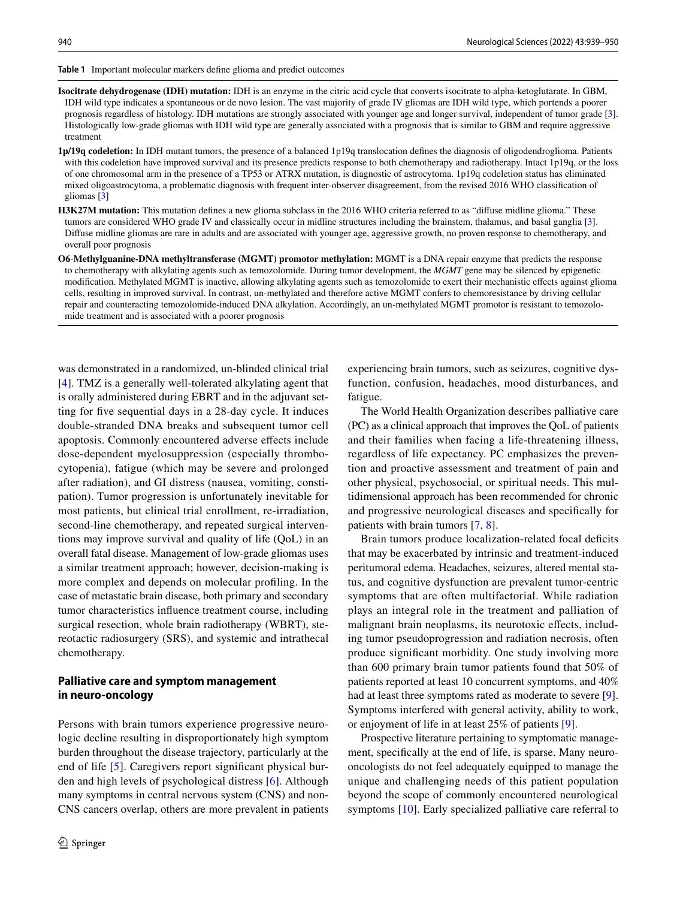<span id="page-2-0"></span>**Table 1** Important molecular markers defne glioma and predict outcomes

**Isocitrate dehydrogenase (IDH) mutation:** IDH is an enzyme in the citric acid cycle that converts isocitrate to alpha-ketoglutarate. In GBM, IDH wild type indicates a spontaneous or de novo lesion. The vast majority of grade IV gliomas are IDH wild type, which portends a poorer prognosis regardless of histology. IDH mutations are strongly associated with younger age and longer survival, independent of tumor grade [[3](#page-9-2)]. Histologically low-grade gliomas with IDH wild type are generally associated with a prognosis that is similar to GBM and require aggressive treatment

**1p/19q codeletion:** In IDH mutant tumors, the presence of a balanced 1p19q translocation defnes the diagnosis of oligodendroglioma. Patients with this codeletion have improved survival and its presence predicts response to both chemotherapy and radiotherapy. Intact 1p19q, or the loss of one chromosomal arm in the presence of a TP53 or ATRX mutation, is diagnostic of astrocytoma. 1p19q codeletion status has eliminated mixed oligoastrocytoma, a problematic diagnosis with frequent inter-observer disagreement, from the revised 2016 WHO classifcation of gliomas [[3](#page-9-2)]

- **H3K27M mutation:** This mutation defnes a new glioma subclass in the 2016 WHO criteria referred to as "difuse midline glioma." These tumors are considered WHO grade IV and classically occur in midline structures including the brainstem, thalamus, and basal ganglia [\[3](#page-9-2)]. Difuse midline gliomas are rare in adults and are associated with younger age, aggressive growth, no proven response to chemotherapy, and overall poor prognosis
- **O6**-**Methylguanine-DNA methyltransferase (MGMT) promotor methylation:** MGMT is a DNA repair enzyme that predicts the response to chemotherapy with alkylating agents such as temozolomide. During tumor development, the *MGMT* gene may be silenced by epigenetic modifcation. Methylated MGMT is inactive, allowing alkylating agents such as temozolomide to exert their mechanistic efects against glioma cells, resulting in improved survival. In contrast, un-methylated and therefore active MGMT confers to chemoresistance by driving cellular repair and counteracting temozolomide-induced DNA alkylation. Accordingly, an un-methylated MGMT promotor is resistant to temozolomide treatment and is associated with a poorer prognosis

was demonstrated in a randomized, un-blinded clinical trial [\[4](#page-9-3)]. TMZ is a generally well-tolerated alkylating agent that is orally administered during EBRT and in the adjuvant setting for fve sequential days in a 28-day cycle. It induces double-stranded DNA breaks and subsequent tumor cell apoptosis. Commonly encountered adverse efects include dose-dependent myelosuppression (especially thrombocytopenia), fatigue (which may be severe and prolonged after radiation), and GI distress (nausea, vomiting, constipation). Tumor progression is unfortunately inevitable for most patients, but clinical trial enrollment, re-irradiation, second-line chemotherapy, and repeated surgical interventions may improve survival and quality of life (QoL) in an overall fatal disease. Management of low-grade gliomas uses a similar treatment approach; however, decision-making is more complex and depends on molecular profling. In the case of metastatic brain disease, both primary and secondary tumor characteristics infuence treatment course, including surgical resection, whole brain radiotherapy (WBRT), stereotactic radiosurgery (SRS), and systemic and intrathecal chemotherapy.

## **Palliative care and symptom management in neuro‑oncology**

Persons with brain tumors experience progressive neurologic decline resulting in disproportionately high symptom burden throughout the disease trajectory, particularly at the end of life [\[5](#page-9-4)]. Caregivers report signifcant physical burden and high levels of psychological distress [\[6](#page-9-5)]. Although many symptoms in central nervous system (CNS) and non-CNS cancers overlap, others are more prevalent in patients experiencing brain tumors, such as seizures, cognitive dysfunction, confusion, headaches, mood disturbances, and fatigue.

The World Health Organization describes palliative care (PC) as a clinical approach that improves the QoL of patients and their families when facing a life-threatening illness, regardless of life expectancy. PC emphasizes the prevention and proactive assessment and treatment of pain and other physical, psychosocial, or spiritual needs. This multidimensional approach has been recommended for chronic and progressive neurological diseases and specifcally for patients with brain tumors [[7,](#page-9-6) [8\]](#page-9-7).

Brain tumors produce localization-related focal deficits that may be exacerbated by intrinsic and treatment-induced peritumoral edema. Headaches, seizures, altered mental status, and cognitive dysfunction are prevalent tumor-centric symptoms that are often multifactorial. While radiation plays an integral role in the treatment and palliation of malignant brain neoplasms, its neurotoxic efects, including tumor pseudoprogression and radiation necrosis, often produce signifcant morbidity. One study involving more than 600 primary brain tumor patients found that 50% of patients reported at least 10 concurrent symptoms, and 40% had at least three symptoms rated as moderate to severe [\[9](#page-9-8)]. Symptoms interfered with general activity, ability to work, or enjoyment of life in at least 25% of patients [[9\]](#page-9-8).

Prospective literature pertaining to symptomatic management, specifcally at the end of life, is sparse. Many neurooncologists do not feel adequately equipped to manage the unique and challenging needs of this patient population beyond the scope of commonly encountered neurological symptoms [[10\]](#page-9-9). Early specialized palliative care referral to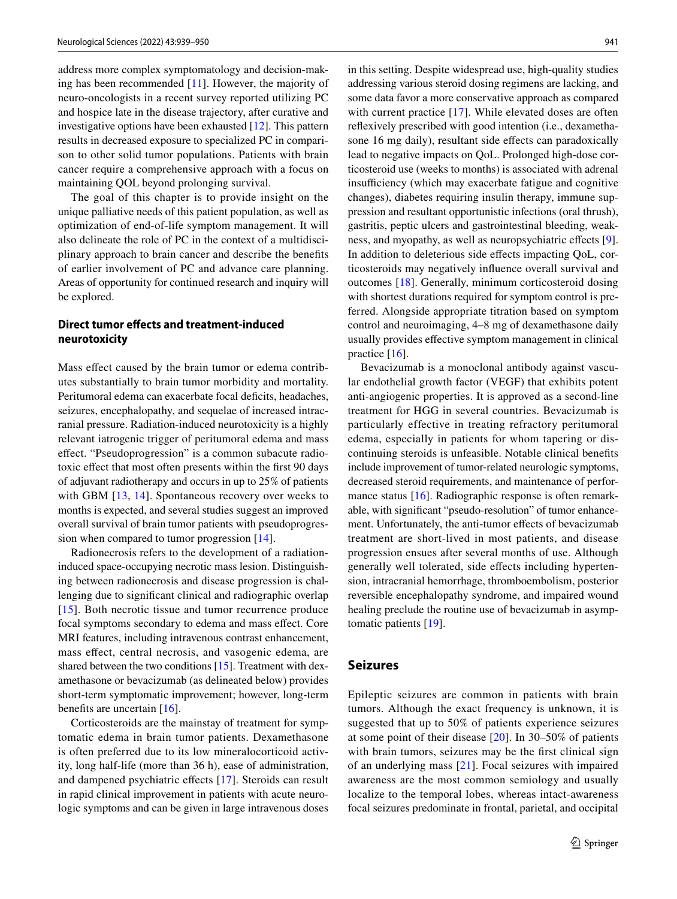address more complex symptomatology and decision-making has been recommended [\[11](#page-9-10)]. However, the majority of neuro-oncologists in a recent survey reported utilizing PC and hospice late in the disease trajectory, after curative and investigative options have been exhausted [[12\]](#page-9-11). This pattern results in decreased exposure to specialized PC in comparison to other solid tumor populations. Patients with brain cancer require a comprehensive approach with a focus on maintaining QOL beyond prolonging survival.

The goal of this chapter is to provide insight on the unique palliative needs of this patient population, as well as optimization of end-of-life symptom management. It will also delineate the role of PC in the context of a multidisciplinary approach to brain cancer and describe the benefts of earlier involvement of PC and advance care planning. Areas of opportunity for continued research and inquiry will be explored.

## **Direct tumor efects and treatment‑induced neurotoxicity**

Mass effect caused by the brain tumor or edema contributes substantially to brain tumor morbidity and mortality. Peritumoral edema can exacerbate focal deficits, headaches, seizures, encephalopathy, and sequelae of increased intracranial pressure. Radiation-induced neurotoxicity is a highly relevant iatrogenic trigger of peritumoral edema and mass efect. "Pseudoprogression" is a common subacute radiotoxic efect that most often presents within the frst 90 days of adjuvant radiotherapy and occurs in up to 25% of patients with GBM [[13](#page-10-0), [14](#page-10-1)]. Spontaneous recovery over weeks to months is expected, and several studies suggest an improved overall survival of brain tumor patients with pseudoprogression when compared to tumor progression [[14\]](#page-10-1).

Radionecrosis refers to the development of a radiationinduced space-occupying necrotic mass lesion. Distinguishing between radionecrosis and disease progression is challenging due to signifcant clinical and radiographic overlap [[15\]](#page-10-2). Both necrotic tissue and tumor recurrence produce focal symptoms secondary to edema and mass efect. Core MRI features, including intravenous contrast enhancement, mass efect, central necrosis, and vasogenic edema, are shared between the two conditions [[15](#page-10-2)]. Treatment with dexamethasone or bevacizumab (as delineated below) provides short-term symptomatic improvement; however, long-term benefits are uncertain [\[16\]](#page-10-3).

Corticosteroids are the mainstay of treatment for symptomatic edema in brain tumor patients. Dexamethasone is often preferred due to its low mineralocorticoid activity, long half-life (more than 36 h), ease of administration, and dampened psychiatric effects [[17](#page-10-4)]. Steroids can result in rapid clinical improvement in patients with acute neurologic symptoms and can be given in large intravenous doses

in this setting. Despite widespread use, high-quality studies addressing various steroid dosing regimens are lacking, and some data favor a more conservative approach as compared with current practice [\[17\]](#page-10-4). While elevated doses are often refexively prescribed with good intention (i.e., dexamethasone 16 mg daily), resultant side effects can paradoxically lead to negative impacts on QoL. Prolonged high-dose corticosteroid use (weeks to months) is associated with adrenal insufficiency (which may exacerbate fatigue and cognitive changes), diabetes requiring insulin therapy, immune suppression and resultant opportunistic infections (oral thrush), gastritis, peptic ulcers and gastrointestinal bleeding, weakness, and myopathy, as well as neuropsychiatric efects [\[9](#page-9-8)]. In addition to deleterious side efects impacting QoL, corticosteroids may negatively infuence overall survival and outcomes [\[18\]](#page-10-5). Generally, minimum corticosteroid dosing with shortest durations required for symptom control is preferred. Alongside appropriate titration based on symptom control and neuroimaging, 4–8 mg of dexamethasone daily usually provides efective symptom management in clinical practice [[16](#page-10-3)].

Bevacizumab is a monoclonal antibody against vascular endothelial growth factor (VEGF) that exhibits potent anti-angiogenic properties. It is approved as a second-line treatment for HGG in several countries. Bevacizumab is particularly effective in treating refractory peritumoral edema, especially in patients for whom tapering or discontinuing steroids is unfeasible. Notable clinical benefts include improvement of tumor-related neurologic symptoms, decreased steroid requirements, and maintenance of perfor-mance status [[16\]](#page-10-3). Radiographic response is often remarkable, with signifcant "pseudo-resolution" of tumor enhancement. Unfortunately, the anti-tumor effects of bevacizumab treatment are short-lived in most patients, and disease progression ensues after several months of use. Although generally well tolerated, side efects including hypertension, intracranial hemorrhage, thromboembolism, posterior reversible encephalopathy syndrome, and impaired wound healing preclude the routine use of bevacizumab in asymptomatic patients [\[19](#page-10-6)].

### **Seizures**

Epileptic seizures are common in patients with brain tumors. Although the exact frequency is unknown, it is suggested that up to 50% of patients experience seizures at some point of their disease [\[20](#page-10-7)]. In 30–50% of patients with brain tumors, seizures may be the first clinical sign of an underlying mass [[21](#page-10-8)]. Focal seizures with impaired awareness are the most common semiology and usually localize to the temporal lobes, whereas intact-awareness focal seizures predominate in frontal, parietal, and occipital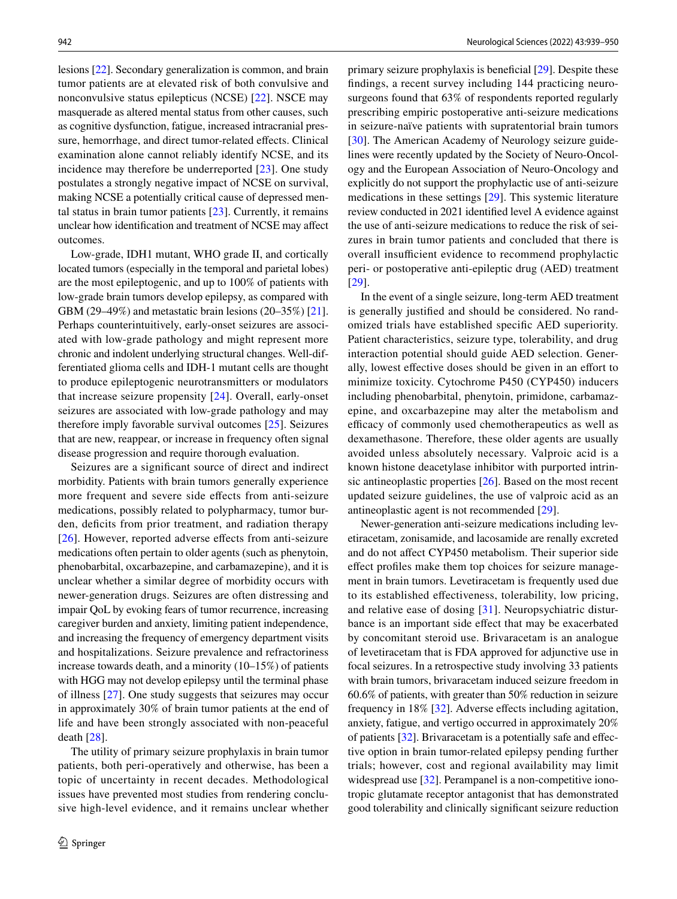lesions [\[22\]](#page-10-9). Secondary generalization is common, and brain tumor patients are at elevated risk of both convulsive and nonconvulsive status epilepticus (NCSE) [\[22\]](#page-10-9). NSCE may masquerade as altered mental status from other causes, such as cognitive dysfunction, fatigue, increased intracranial pressure, hemorrhage, and direct tumor-related effects. Clinical examination alone cannot reliably identify NCSE, and its incidence may therefore be underreported [[23\]](#page-10-10). One study postulates a strongly negative impact of NCSE on survival, making NCSE a potentially critical cause of depressed mental status in brain tumor patients [\[23](#page-10-10)]. Currently, it remains unclear how identifcation and treatment of NCSE may afect outcomes.

Low-grade, IDH1 mutant, WHO grade II, and cortically located tumors (especially in the temporal and parietal lobes) are the most epileptogenic, and up to 100% of patients with low-grade brain tumors develop epilepsy, as compared with GBM (29–49%) and metastatic brain lesions (20–35%) [\[21](#page-10-8)]. Perhaps counterintuitively, early-onset seizures are associated with low-grade pathology and might represent more chronic and indolent underlying structural changes. Well-differentiated glioma cells and IDH-1 mutant cells are thought to produce epileptogenic neurotransmitters or modulators that increase seizure propensity [\[24\]](#page-10-11). Overall, early-onset seizures are associated with low-grade pathology and may therefore imply favorable survival outcomes [\[25](#page-10-12)]. Seizures that are new, reappear, or increase in frequency often signal disease progression and require thorough evaluation.

Seizures are a signifcant source of direct and indirect morbidity. Patients with brain tumors generally experience more frequent and severe side efects from anti-seizure medications, possibly related to polypharmacy, tumor burden, deficits from prior treatment, and radiation therapy [\[26\]](#page-10-13). However, reported adverse effects from anti-seizure medications often pertain to older agents (such as phenytoin, phenobarbital, oxcarbazepine, and carbamazepine), and it is unclear whether a similar degree of morbidity occurs with newer-generation drugs. Seizures are often distressing and impair QoL by evoking fears of tumor recurrence, increasing caregiver burden and anxiety, limiting patient independence, and increasing the frequency of emergency department visits and hospitalizations. Seizure prevalence and refractoriness increase towards death, and a minority (10–15%) of patients with HGG may not develop epilepsy until the terminal phase of illness [\[27](#page-10-14)]. One study suggests that seizures may occur in approximately 30% of brain tumor patients at the end of life and have been strongly associated with non-peaceful death [[28\]](#page-10-15).

The utility of primary seizure prophylaxis in brain tumor patients, both peri-operatively and otherwise, has been a topic of uncertainty in recent decades. Methodological issues have prevented most studies from rendering conclusive high-level evidence, and it remains unclear whether primary seizure prophylaxis is benefcial [\[29\]](#page-10-16). Despite these fndings, a recent survey including 144 practicing neurosurgeons found that 63% of respondents reported regularly prescribing empiric postoperative anti-seizure medications in seizure-naïve patients with supratentorial brain tumors [[30\]](#page-10-17). The American Academy of Neurology seizure guidelines were recently updated by the Society of Neuro-Oncology and the European Association of Neuro-Oncology and explicitly do not support the prophylactic use of anti-seizure medications in these settings [[29\]](#page-10-16). This systemic literature review conducted in 2021 identifed level A evidence against the use of anti-seizure medications to reduce the risk of seizures in brain tumor patients and concluded that there is overall insufficient evidence to recommend prophylactic peri- or postoperative anti-epileptic drug (AED) treatment [[29\]](#page-10-16).

In the event of a single seizure, long-term AED treatment is generally justifed and should be considered. No randomized trials have established specifc AED superiority. Patient characteristics, seizure type, tolerability, and drug interaction potential should guide AED selection. Generally, lowest effective doses should be given in an effort to minimize toxicity. Cytochrome P450 (CYP450) inducers including phenobarbital, phenytoin, primidone, carbamazepine, and oxcarbazepine may alter the metabolism and efficacy of commonly used chemotherapeutics as well as dexamethasone. Therefore, these older agents are usually avoided unless absolutely necessary. Valproic acid is a known histone deacetylase inhibitor with purported intrinsic antineoplastic properties [[26\]](#page-10-13). Based on the most recent updated seizure guidelines, the use of valproic acid as an antineoplastic agent is not recommended [\[29](#page-10-16)].

Newer-generation anti-seizure medications including levetiracetam, zonisamide, and lacosamide are renally excreted and do not afect CYP450 metabolism. Their superior side efect profles make them top choices for seizure management in brain tumors. Levetiracetam is frequently used due to its established efectiveness, tolerability, low pricing, and relative ease of dosing [\[31\]](#page-10-18). Neuropsychiatric disturbance is an important side efect that may be exacerbated by concomitant steroid use. Brivaracetam is an analogue of levetiracetam that is FDA approved for adjunctive use in focal seizures. In a retrospective study involving 33 patients with brain tumors, brivaracetam induced seizure freedom in 60.6% of patients, with greater than 50% reduction in seizure frequency in 18% [[32\]](#page-10-19). Adverse efects including agitation, anxiety, fatigue, and vertigo occurred in approximately 20% of patients [\[32](#page-10-19)]. Brivaracetam is a potentially safe and efective option in brain tumor-related epilepsy pending further trials; however, cost and regional availability may limit widespread use [[32\]](#page-10-19). Perampanel is a non-competitive ionotropic glutamate receptor antagonist that has demonstrated good tolerability and clinically signifcant seizure reduction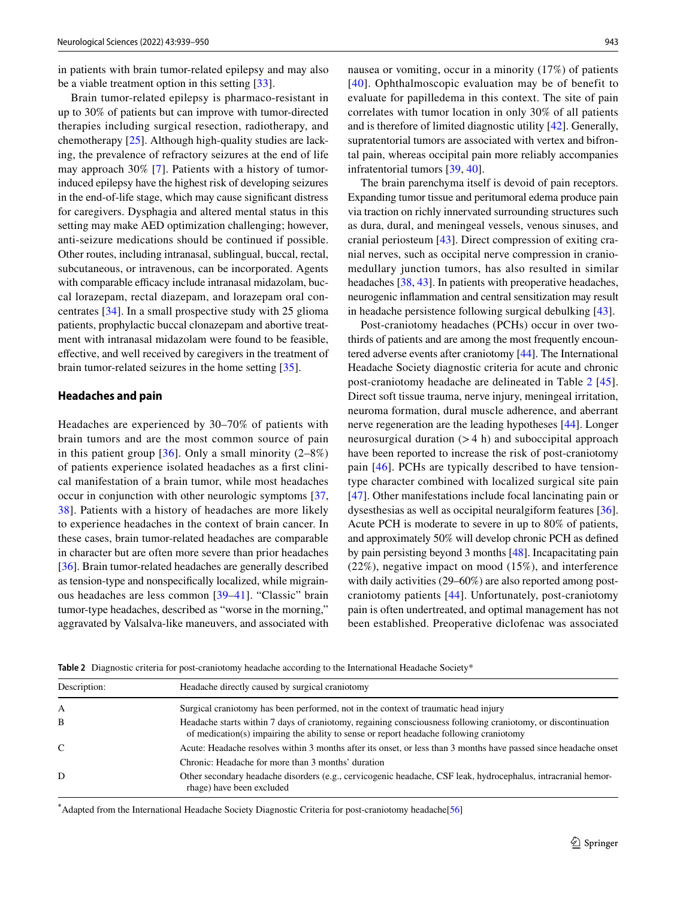in patients with brain tumor-related epilepsy and may also be a viable treatment option in this setting [\[33](#page-10-20)].

Brain tumor-related epilepsy is pharmaco-resistant in up to 30% of patients but can improve with tumor-directed therapies including surgical resection, radiotherapy, and chemotherapy [[25\]](#page-10-12). Although high-quality studies are lacking, the prevalence of refractory seizures at the end of life may approach 30% [\[7](#page-9-6)]. Patients with a history of tumorinduced epilepsy have the highest risk of developing seizures in the end-of-life stage, which may cause signifcant distress for caregivers. Dysphagia and altered mental status in this setting may make AED optimization challenging; however, anti-seizure medications should be continued if possible. Other routes, including intranasal, sublingual, buccal, rectal, subcutaneous, or intravenous, can be incorporated. Agents with comparable efficacy include intranasal midazolam, buccal lorazepam, rectal diazepam, and lorazepam oral concentrates [[34](#page-10-21)]. In a small prospective study with 25 glioma patients, prophylactic buccal clonazepam and abortive treatment with intranasal midazolam were found to be feasible, efective, and well received by caregivers in the treatment of brain tumor-related seizures in the home setting [\[35](#page-10-22)].

### **Headaches and pain**

Headaches are experienced by 30–70% of patients with brain tumors and are the most common source of pain in this patient group  $[36]$  $[36]$ . Only a small minority  $(2-8%)$ of patients experience isolated headaches as a frst clinical manifestation of a brain tumor, while most headaches occur in conjunction with other neurologic symptoms [[37,](#page-10-24) [38](#page-10-25)]. Patients with a history of headaches are more likely to experience headaches in the context of brain cancer. In these cases, brain tumor-related headaches are comparable in character but are often more severe than prior headaches [\[36](#page-10-23)]. Brain tumor-related headaches are generally described as tension-type and nonspecifcally localized, while migrainous headaches are less common [[39](#page-10-26)[–41\]](#page-10-27). "Classic" brain tumor-type headaches, described as "worse in the morning," aggravated by Valsalva-like maneuvers, and associated with nausea or vomiting, occur in a minority (17%) of patients [[40](#page-10-28)]. Ophthalmoscopic evaluation may be of benefit to evaluate for papilledema in this context. The site of pain correlates with tumor location in only 30% of all patients and is therefore of limited diagnostic utility [[42\]](#page-10-29). Generally, supratentorial tumors are associated with vertex and bifrontal pain, whereas occipital pain more reliably accompanies infratentorial tumors [[39,](#page-10-26) [40\]](#page-10-28).

The brain parenchyma itself is devoid of pain receptors. Expanding tumor tissue and peritumoral edema produce pain via traction on richly innervated surrounding structures such as dura, dural, and meningeal vessels, venous sinuses, and cranial periosteum [\[43](#page-11-0)]. Direct compression of exiting cranial nerves, such as occipital nerve compression in craniomedullary junction tumors, has also resulted in similar headaches [[38,](#page-10-25) [43](#page-11-0)]. In patients with preoperative headaches, neurogenic infammation and central sensitization may result in headache persistence following surgical debulking [\[43\]](#page-11-0).

Post-craniotomy headaches (PCHs) occur in over twothirds of patients and are among the most frequently encountered adverse events after craniotomy [\[44\]](#page-11-1). The International Headache Society diagnostic criteria for acute and chronic post-craniotomy headache are delineated in Table [2](#page-5-0) [[45](#page-11-2)]. Direct soft tissue trauma, nerve injury, meningeal irritation, neuroma formation, dural muscle adherence, and aberrant nerve regeneration are the leading hypotheses [[44\]](#page-11-1). Longer neurosurgical duration  $(>4 h)$  and suboccipital approach have been reported to increase the risk of post-craniotomy pain [[46](#page-11-3)]. PCHs are typically described to have tensiontype character combined with localized surgical site pain [[47\]](#page-11-4). Other manifestations include focal lancinating pain or dysesthesias as well as occipital neuralgiform features [\[36](#page-10-23)]. Acute PCH is moderate to severe in up to 80% of patients, and approximately 50% will develop chronic PCH as defned by pain persisting beyond 3 months [[48\]](#page-11-5). Incapacitating pain (22%), negative impact on mood (15%), and interference with daily activities (29–60%) are also reported among postcraniotomy patients [[44](#page-11-1)]. Unfortunately, post-craniotomy pain is often undertreated, and optimal management has not been established. Preoperative diclofenac was associated

<span id="page-5-0"></span>**Table 2** Diagnostic criteria for post-craniotomy headache according to the International Headache Society\*

| Description: | Headache directly caused by surgical craniotomy                                                                                                                                                          |
|--------------|----------------------------------------------------------------------------------------------------------------------------------------------------------------------------------------------------------|
| A            | Surgical craniotomy has been performed, not in the context of traumatic head injury                                                                                                                      |
| B            | Headache starts within 7 days of craniotomy, regaining consciousness following craniotomy, or discontinuation<br>of medication(s) impairing the ability to sense or report headache following craniotomy |
| C            | Acute: Headache resolves within 3 months after its onset, or less than 3 months have passed since headache onset                                                                                         |
|              | Chronic: Headache for more than 3 months' duration                                                                                                                                                       |
| D            | Other secondary headache disorders (e.g., cervicogenic headache, CSF leak, hydrocephalus, intracranial hemor-<br>rhage) have been excluded                                                               |
|              |                                                                                                                                                                                                          |

**\*** Adapted from the International Headache Society Diagnostic Criteria for post-craniotomy headache[[56](#page-11-6)]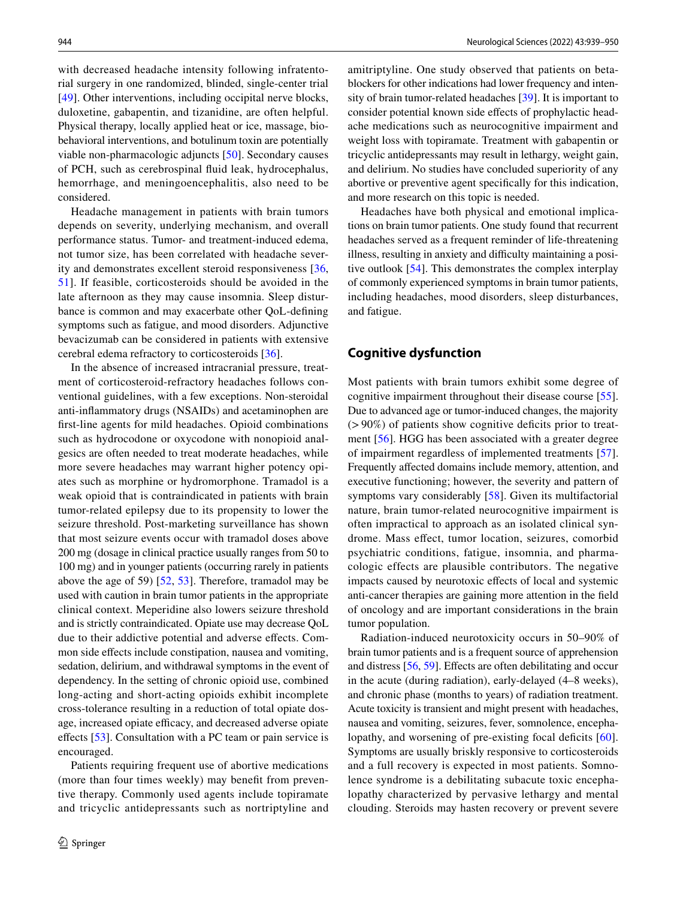with decreased headache intensity following infratentorial surgery in one randomized, blinded, single-center trial [\[49\]](#page-11-7). Other interventions, including occipital nerve blocks, duloxetine, gabapentin, and tizanidine, are often helpful. Physical therapy, locally applied heat or ice, massage, biobehavioral interventions, and botulinum toxin are potentially viable non-pharmacologic adjuncts [[50](#page-11-8)]. Secondary causes of PCH, such as cerebrospinal fuid leak, hydrocephalus, hemorrhage, and meningoencephalitis, also need to be considered.

Headache management in patients with brain tumors depends on severity, underlying mechanism, and overall performance status. Tumor- and treatment-induced edema, not tumor size, has been correlated with headache severity and demonstrates excellent steroid responsiveness [\[36,](#page-10-23) [51](#page-11-9)]. If feasible, corticosteroids should be avoided in the late afternoon as they may cause insomnia. Sleep disturbance is common and may exacerbate other QoL-defning symptoms such as fatigue, and mood disorders. Adjunctive bevacizumab can be considered in patients with extensive cerebral edema refractory to corticosteroids [\[36](#page-10-23)].

In the absence of increased intracranial pressure, treatment of corticosteroid-refractory headaches follows conventional guidelines, with a few exceptions. Non-steroidal anti-infammatory drugs (NSAIDs) and acetaminophen are frst-line agents for mild headaches. Opioid combinations such as hydrocodone or oxycodone with nonopioid analgesics are often needed to treat moderate headaches, while more severe headaches may warrant higher potency opiates such as morphine or hydromorphone. Tramadol is a weak opioid that is contraindicated in patients with brain tumor-related epilepsy due to its propensity to lower the seizure threshold. Post-marketing surveillance has shown that most seizure events occur with tramadol doses above 200 mg (dosage in clinical practice usually ranges from 50 to 100 mg) and in younger patients (occurring rarely in patients above the age of 59) [[52](#page-11-10), [53\]](#page-11-11). Therefore, tramadol may be used with caution in brain tumor patients in the appropriate clinical context. Meperidine also lowers seizure threshold and is strictly contraindicated. Opiate use may decrease QoL due to their addictive potential and adverse efects. Common side efects include constipation, nausea and vomiting, sedation, delirium, and withdrawal symptoms in the event of dependency. In the setting of chronic opioid use, combined long-acting and short-acting opioids exhibit incomplete cross-tolerance resulting in a reduction of total opiate dosage, increased opiate efficacy, and decreased adverse opiate efects [\[53](#page-11-11)]. Consultation with a PC team or pain service is encouraged.

Patients requiring frequent use of abortive medications (more than four times weekly) may beneft from preventive therapy. Commonly used agents include topiramate and tricyclic antidepressants such as nortriptyline and amitriptyline. One study observed that patients on betablockers for other indications had lower frequency and intensity of brain tumor-related headaches [\[39](#page-10-26)]. It is important to consider potential known side efects of prophylactic headache medications such as neurocognitive impairment and weight loss with topiramate. Treatment with gabapentin or tricyclic antidepressants may result in lethargy, weight gain, and delirium. No studies have concluded superiority of any abortive or preventive agent specifcally for this indication, and more research on this topic is needed.

Headaches have both physical and emotional implications on brain tumor patients. One study found that recurrent headaches served as a frequent reminder of life-threatening illness, resulting in anxiety and difficulty maintaining a positive outlook [[54\]](#page-11-12). This demonstrates the complex interplay of commonly experienced symptoms in brain tumor patients, including headaches, mood disorders, sleep disturbances, and fatigue.

#### **Cognitive dysfunction**

Most patients with brain tumors exhibit some degree of cognitive impairment throughout their disease course [\[55](#page-11-13)]. Due to advanced age or tumor-induced changes, the majority  $(>90\%)$  of patients show cognitive deficits prior to treatment [\[56\]](#page-11-6). HGG has been associated with a greater degree of impairment regardless of implemented treatments [\[57](#page-11-14)]. Frequently affected domains include memory, attention, and executive functioning; however, the severity and pattern of symptoms vary considerably [[58\]](#page-11-15). Given its multifactorial nature, brain tumor-related neurocognitive impairment is often impractical to approach as an isolated clinical syndrome. Mass efect, tumor location, seizures, comorbid psychiatric conditions, fatigue, insomnia, and pharmacologic effects are plausible contributors. The negative impacts caused by neurotoxic efects of local and systemic anti-cancer therapies are gaining more attention in the feld of oncology and are important considerations in the brain tumor population.

Radiation-induced neurotoxicity occurs in 50–90% of brain tumor patients and is a frequent source of apprehension and distress [\[56,](#page-11-6) [59\]](#page-11-16). Efects are often debilitating and occur in the acute (during radiation), early-delayed (4–8 weeks), and chronic phase (months to years) of radiation treatment. Acute toxicity is transient and might present with headaches, nausea and vomiting, seizures, fever, somnolence, encepha-lopathy, and worsening of pre-existing focal deficits [[60](#page-11-17)]. Symptoms are usually briskly responsive to corticosteroids and a full recovery is expected in most patients. Somnolence syndrome is a debilitating subacute toxic encephalopathy characterized by pervasive lethargy and mental clouding. Steroids may hasten recovery or prevent severe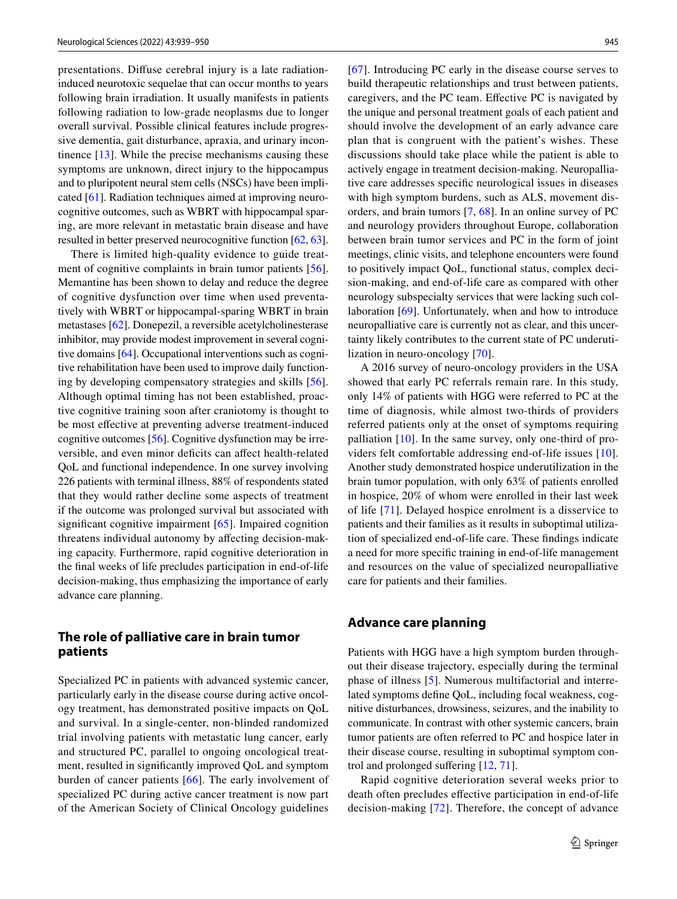presentations. Difuse cerebral injury is a late radiationinduced neurotoxic sequelae that can occur months to years following brain irradiation. It usually manifests in patients following radiation to low-grade neoplasms due to longer overall survival. Possible clinical features include progressive dementia, gait disturbance, apraxia, and urinary incontinence [[13](#page-10-0)]. While the precise mechanisms causing these symptoms are unknown, direct injury to the hippocampus and to pluripotent neural stem cells (NSCs) have been implicated [[61\]](#page-11-18). Radiation techniques aimed at improving neurocognitive outcomes, such as WBRT with hippocampal sparing, are more relevant in metastatic brain disease and have resulted in better preserved neurocognitive function [\[62,](#page-11-19) [63](#page-11-20)].

There is limited high-quality evidence to guide treat-ment of cognitive complaints in brain tumor patients [\[56](#page-11-6)]. Memantine has been shown to delay and reduce the degree of cognitive dysfunction over time when used preventatively with WBRT or hippocampal-sparing WBRT in brain metastases [\[62\]](#page-11-19). Donepezil, a reversible acetylcholinesterase inhibitor, may provide modest improvement in several cognitive domains [[64\]](#page-11-21). Occupational interventions such as cognitive rehabilitation have been used to improve daily functioning by developing compensatory strategies and skills [[56](#page-11-6)]. Although optimal timing has not been established, proactive cognitive training soon after craniotomy is thought to be most efective at preventing adverse treatment-induced cognitive outcomes [\[56](#page-11-6)]. Cognitive dysfunction may be irreversible, and even minor deficits can affect health-related QoL and functional independence. In one survey involving 226 patients with terminal illness, 88% of respondents stated that they would rather decline some aspects of treatment if the outcome was prolonged survival but associated with significant cognitive impairment [\[65\]](#page-11-22). Impaired cognition threatens individual autonomy by afecting decision-making capacity. Furthermore, rapid cognitive deterioration in the fnal weeks of life precludes participation in end-of-life decision-making, thus emphasizing the importance of early advance care planning.

## **The role of palliative care in brain tumor patients**

Specialized PC in patients with advanced systemic cancer, particularly early in the disease course during active oncology treatment, has demonstrated positive impacts on QoL and survival. In a single-center, non-blinded randomized trial involving patients with metastatic lung cancer, early and structured PC, parallel to ongoing oncological treatment, resulted in signifcantly improved QoL and symptom burden of cancer patients [[66](#page-11-23)]. The early involvement of specialized PC during active cancer treatment is now part of the American Society of Clinical Oncology guidelines [[67\]](#page-11-24). Introducing PC early in the disease course serves to build therapeutic relationships and trust between patients, caregivers, and the PC team. Efective PC is navigated by the unique and personal treatment goals of each patient and should involve the development of an early advance care plan that is congruent with the patient's wishes. These discussions should take place while the patient is able to actively engage in treatment decision-making. Neuropalliative care addresses specifc neurological issues in diseases with high symptom burdens, such as ALS, movement disorders, and brain tumors [\[7](#page-9-6), [68\]](#page-11-25). In an online survey of PC and neurology providers throughout Europe, collaboration between brain tumor services and PC in the form of joint meetings, clinic visits, and telephone encounters were found to positively impact QoL, functional status, complex decision-making, and end-of-life care as compared with other neurology subspecialty services that were lacking such collaboration [\[69\]](#page-11-26). Unfortunately, when and how to introduce neuropalliative care is currently not as clear, and this uncertainty likely contributes to the current state of PC underutilization in neuro-oncology [[70](#page-11-27)].

A 2016 survey of neuro-oncology providers in the USA showed that early PC referrals remain rare. In this study, only 14% of patients with HGG were referred to PC at the time of diagnosis, while almost two-thirds of providers referred patients only at the onset of symptoms requiring palliation [[10\]](#page-9-9). In the same survey, only one-third of providers felt comfortable addressing end-of-life issues [[10](#page-9-9)]. Another study demonstrated hospice underutilization in the brain tumor population, with only 63% of patients enrolled in hospice, 20% of whom were enrolled in their last week of life [[71](#page-11-28)]. Delayed hospice enrolment is a disservice to patients and their families as it results in suboptimal utilization of specialized end-of-life care. These fndings indicate a need for more specifc training in end-of-life management and resources on the value of specialized neuropalliative care for patients and their families.

#### **Advance care planning**

Patients with HGG have a high symptom burden throughout their disease trajectory, especially during the terminal phase of illness [[5](#page-9-4)]. Numerous multifactorial and interrelated symptoms defne QoL, including focal weakness, cognitive disturbances, drowsiness, seizures, and the inability to communicate. In contrast with other systemic cancers, brain tumor patients are often referred to PC and hospice later in their disease course, resulting in suboptimal symptom control and prolonged sufering [[12,](#page-9-11) [71\]](#page-11-28).

Rapid cognitive deterioration several weeks prior to death often precludes efective participation in end-of-life decision-making [[72](#page-11-29)]. Therefore, the concept of advance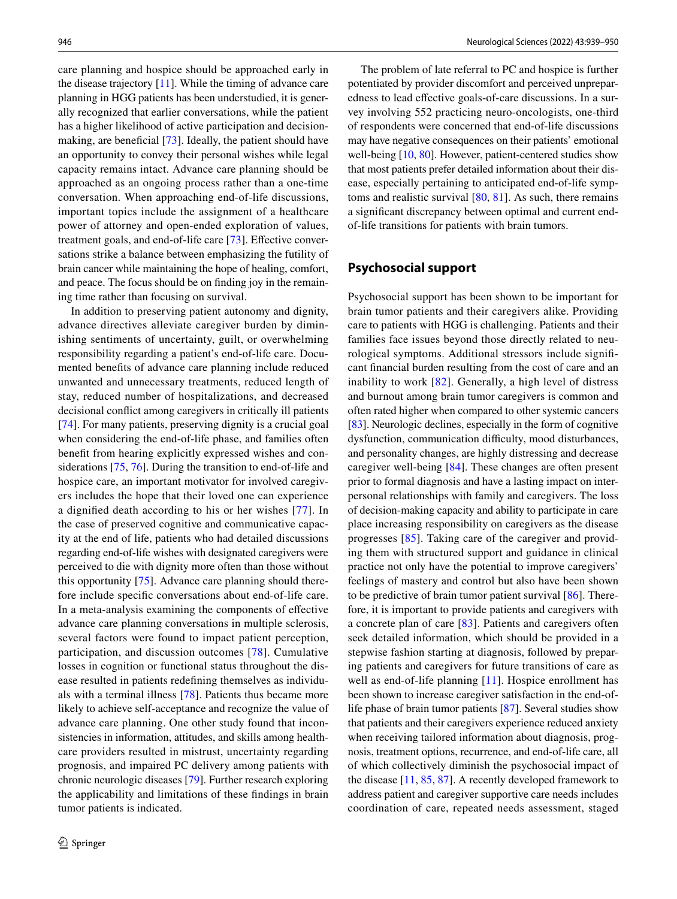care planning and hospice should be approached early in the disease trajectory [\[11](#page-9-10)]. While the timing of advance care planning in HGG patients has been understudied, it is generally recognized that earlier conversations, while the patient has a higher likelihood of active participation and decision-making, are beneficial [[73](#page-12-0)]. Ideally, the patient should have an opportunity to convey their personal wishes while legal capacity remains intact. Advance care planning should be approached as an ongoing process rather than a one-time conversation. When approaching end-of-life discussions, important topics include the assignment of a healthcare power of attorney and open-ended exploration of values, treatment goals, and end-of-life care [\[73](#page-12-0)]. Effective conversations strike a balance between emphasizing the futility of brain cancer while maintaining the hope of healing, comfort, and peace. The focus should be on fnding joy in the remaining time rather than focusing on survival.

In addition to preserving patient autonomy and dignity, advance directives alleviate caregiver burden by diminishing sentiments of uncertainty, guilt, or overwhelming responsibility regarding a patient's end-of-life care. Documented benefts of advance care planning include reduced unwanted and unnecessary treatments, reduced length of stay, reduced number of hospitalizations, and decreased decisional confict among caregivers in critically ill patients [\[74](#page-12-1)]. For many patients, preserving dignity is a crucial goal when considering the end-of-life phase, and families often beneft from hearing explicitly expressed wishes and considerations [\[75](#page-12-2), [76](#page-12-3)]. During the transition to end-of-life and hospice care, an important motivator for involved caregivers includes the hope that their loved one can experience a dignifed death according to his or her wishes [[77](#page-12-4)]. In the case of preserved cognitive and communicative capacity at the end of life, patients who had detailed discussions regarding end-of-life wishes with designated caregivers were perceived to die with dignity more often than those without this opportunity [[75\]](#page-12-2). Advance care planning should therefore include specifc conversations about end-of-life care. In a meta-analysis examining the components of efective advance care planning conversations in multiple sclerosis, several factors were found to impact patient perception, participation, and discussion outcomes [\[78\]](#page-12-5). Cumulative losses in cognition or functional status throughout the disease resulted in patients redefning themselves as individuals with a terminal illness [[78\]](#page-12-5). Patients thus became more likely to achieve self-acceptance and recognize the value of advance care planning. One other study found that inconsistencies in information, attitudes, and skills among healthcare providers resulted in mistrust, uncertainty regarding prognosis, and impaired PC delivery among patients with chronic neurologic diseases [[79\]](#page-12-6). Further research exploring the applicability and limitations of these fndings in brain tumor patients is indicated.

The problem of late referral to PC and hospice is further potentiated by provider discomfort and perceived unpreparedness to lead efective goals-of-care discussions. In a survey involving 552 practicing neuro-oncologists, one-third of respondents were concerned that end-of-life discussions may have negative consequences on their patients' emotional well-being [\[10](#page-9-9), [80\]](#page-12-7). However, patient-centered studies show that most patients prefer detailed information about their disease, especially pertaining to anticipated end-of-life symptoms and realistic survival [[80,](#page-12-7) [81\]](#page-12-8). As such, there remains a signifcant discrepancy between optimal and current endof-life transitions for patients with brain tumors.

## **Psychosocial support**

Psychosocial support has been shown to be important for brain tumor patients and their caregivers alike. Providing care to patients with HGG is challenging. Patients and their families face issues beyond those directly related to neurological symptoms. Additional stressors include signifcant fnancial burden resulting from the cost of care and an inability to work [[82](#page-12-9)]. Generally, a high level of distress and burnout among brain tumor caregivers is common and often rated higher when compared to other systemic cancers [\[83](#page-12-10)]. Neurologic declines, especially in the form of cognitive dysfunction, communication difficulty, mood disturbances, and personality changes, are highly distressing and decrease caregiver well-being [[84\]](#page-12-11). These changes are often present prior to formal diagnosis and have a lasting impact on interpersonal relationships with family and caregivers. The loss of decision-making capacity and ability to participate in care place increasing responsibility on caregivers as the disease progresses [\[85\]](#page-12-12). Taking care of the caregiver and providing them with structured support and guidance in clinical practice not only have the potential to improve caregivers' feelings of mastery and control but also have been shown to be predictive of brain tumor patient survival [\[86](#page-12-13)]. Therefore, it is important to provide patients and caregivers with a concrete plan of care [\[83\]](#page-12-10). Patients and caregivers often seek detailed information, which should be provided in a stepwise fashion starting at diagnosis, followed by preparing patients and caregivers for future transitions of care as well as end-of-life planning [\[11\]](#page-9-10). Hospice enrollment has been shown to increase caregiver satisfaction in the end-oflife phase of brain tumor patients [\[87](#page-12-14)]. Several studies show that patients and their caregivers experience reduced anxiety when receiving tailored information about diagnosis, prognosis, treatment options, recurrence, and end-of-life care, all of which collectively diminish the psychosocial impact of the disease [[11,](#page-9-10) [85](#page-12-12), [87](#page-12-14)]. A recently developed framework to address patient and caregiver supportive care needs includes coordination of care, repeated needs assessment, staged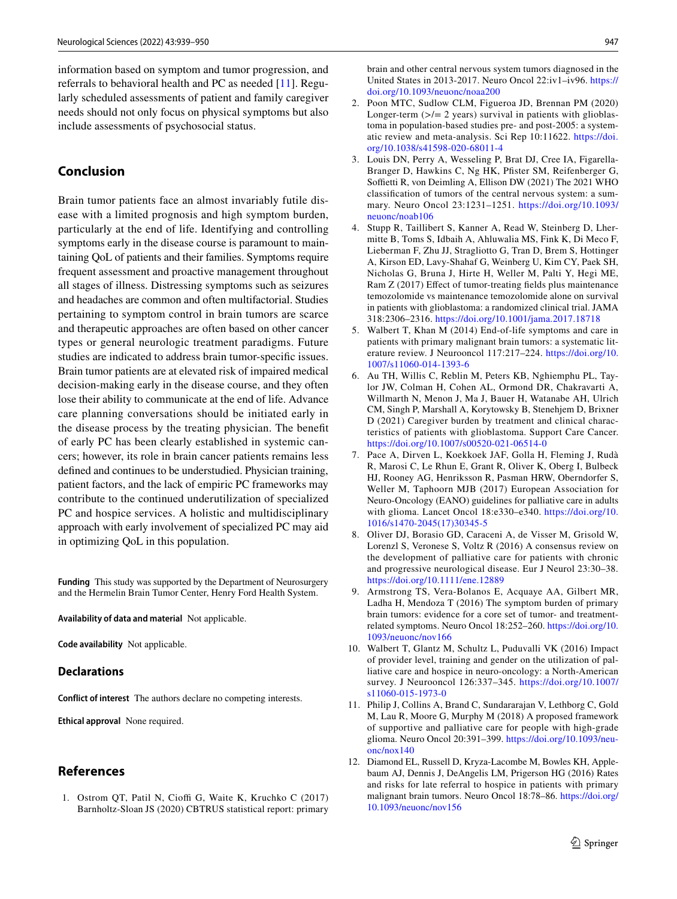information based on symptom and tumor progression, and referrals to behavioral health and PC as needed [\[11](#page-9-10)]. Regularly scheduled assessments of patient and family caregiver needs should not only focus on physical symptoms but also include assessments of psychosocial status.

## **Conclusion**

Brain tumor patients face an almost invariably futile disease with a limited prognosis and high symptom burden, particularly at the end of life. Identifying and controlling symptoms early in the disease course is paramount to maintaining QoL of patients and their families. Symptoms require frequent assessment and proactive management throughout all stages of illness. Distressing symptoms such as seizures and headaches are common and often multifactorial. Studies pertaining to symptom control in brain tumors are scarce and therapeutic approaches are often based on other cancer types or general neurologic treatment paradigms. Future studies are indicated to address brain tumor-specifc issues. Brain tumor patients are at elevated risk of impaired medical decision-making early in the disease course, and they often lose their ability to communicate at the end of life. Advance care planning conversations should be initiated early in the disease process by the treating physician. The beneft of early PC has been clearly established in systemic cancers; however, its role in brain cancer patients remains less defned and continues to be understudied. Physician training, patient factors, and the lack of empiric PC frameworks may contribute to the continued underutilization of specialized PC and hospice services. A holistic and multidisciplinary approach with early involvement of specialized PC may aid in optimizing QoL in this population.

**Funding** This study was supported by the Department of Neurosurgery and the Hermelin Brain Tumor Center, Henry Ford Health System.

**Availability of data and material** Not applicable.

**Code availability** Not applicable.

#### **Declarations**

**Conflict of interest** The authors declare no competing interests.

**Ethical approval** None required.

## **References**

<span id="page-9-0"></span>1. Ostrom QT, Patil N, Cioffi G, Waite K, Kruchko C (2017) Barnholtz-Sloan JS (2020) CBTRUS statistical report: primary

brain and other central nervous system tumors diagnosed in the United States in 2013-2017. Neuro Oncol 22:iv1–iv96. [https://](https://doi.org/10.1093/neuonc/noaa200) [doi.org/10.1093/neuonc/noaa200](https://doi.org/10.1093/neuonc/noaa200)

- <span id="page-9-1"></span>2. Poon MTC, Sudlow CLM, Figueroa JD, Brennan PM (2020) Longer-term  $(\geq)$  = 2 years) survival in patients with glioblastoma in population-based studies pre- and post-2005: a systematic review and meta-analysis. Sci Rep 10:11622. [https://doi.](https://doi.org/10.1038/s41598-020-68011-4) [org/10.1038/s41598-020-68011-4](https://doi.org/10.1038/s41598-020-68011-4)
- <span id="page-9-2"></span>3. Louis DN, Perry A, Wesseling P, Brat DJ, Cree IA, Figarella-Branger D, Hawkins C, Ng HK, Pfister SM, Reifenberger G, Soffietti R, von Deimling A, Ellison DW (2021) The 2021 WHO classifcation of tumors of the central nervous system: a summary. Neuro Oncol 23:1231–1251. [https://doi.org/10.1093/](https://doi.org/10.1093/neuonc/noab106) [neuonc/noab106](https://doi.org/10.1093/neuonc/noab106)
- <span id="page-9-3"></span>4. Stupp R, Taillibert S, Kanner A, Read W, Steinberg D, Lhermitte B, Toms S, Idbaih A, Ahluwalia MS, Fink K, Di Meco F, Lieberman F, Zhu JJ, Stragliotto G, Tran D, Brem S, Hottinger A, Kirson ED, Lavy-Shahaf G, Weinberg U, Kim CY, Paek SH, Nicholas G, Bruna J, Hirte H, Weller M, Palti Y, Hegi ME, Ram Z (2017) Effect of tumor-treating fields plus maintenance temozolomide vs maintenance temozolomide alone on survival in patients with glioblastoma: a randomized clinical trial. JAMA 318:2306–2316.<https://doi.org/10.1001/jama.2017.18718>
- <span id="page-9-4"></span>5. Walbert T, Khan M (2014) End-of-life symptoms and care in patients with primary malignant brain tumors: a systematic literature review. J Neurooncol 117:217–224. [https://doi.org/10.](https://doi.org/10.1007/s11060-014-1393-6) [1007/s11060-014-1393-6](https://doi.org/10.1007/s11060-014-1393-6)
- <span id="page-9-5"></span>6. Au TH, Willis C, Reblin M, Peters KB, Nghiemphu PL, Taylor JW, Colman H, Cohen AL, Ormond DR, Chakravarti A, Willmarth N, Menon J, Ma J, Bauer H, Watanabe AH, Ulrich CM, Singh P, Marshall A, Korytowsky B, Stenehjem D, Brixner D (2021) Caregiver burden by treatment and clinical characteristics of patients with glioblastoma. Support Care Cancer. <https://doi.org/10.1007/s00520-021-06514-0>
- <span id="page-9-6"></span>7. Pace A, Dirven L, Koekkoek JAF, Golla H, Fleming J, Rudà R, Marosi C, Le Rhun E, Grant R, Oliver K, Oberg I, Bulbeck HJ, Rooney AG, Henriksson R, Pasman HRW, Oberndorfer S, Weller M, Taphoorn MJB (2017) European Association for Neuro-Oncology (EANO) guidelines for palliative care in adults with glioma. Lancet Oncol 18:e330–e340. [https://doi.org/10.](https://doi.org/10.1016/s1470-2045(17)30345-5) [1016/s1470-2045\(17\)30345-5](https://doi.org/10.1016/s1470-2045(17)30345-5)
- <span id="page-9-7"></span>8. Oliver DJ, Borasio GD, Caraceni A, de Visser M, Grisold W, Lorenzl S, Veronese S, Voltz R (2016) A consensus review on the development of palliative care for patients with chronic and progressive neurological disease. Eur J Neurol 23:30–38. <https://doi.org/10.1111/ene.12889>
- <span id="page-9-8"></span>9. Armstrong TS, Vera-Bolanos E, Acquaye AA, Gilbert MR, Ladha H, Mendoza T (2016) The symptom burden of primary brain tumors: evidence for a core set of tumor- and treatmentrelated symptoms. Neuro Oncol 18:252–260. [https://doi.org/10.](https://doi.org/10.1093/neuonc/nov166) [1093/neuonc/nov166](https://doi.org/10.1093/neuonc/nov166)
- <span id="page-9-9"></span>10. Walbert T, Glantz M, Schultz L, Puduvalli VK (2016) Impact of provider level, training and gender on the utilization of palliative care and hospice in neuro-oncology: a North-American survey. J Neurooncol 126:337–345. [https://doi.org/10.1007/](https://doi.org/10.1007/s11060-015-1973-0) [s11060-015-1973-0](https://doi.org/10.1007/s11060-015-1973-0)
- <span id="page-9-10"></span>11. Philip J, Collins A, Brand C, Sundararajan V, Lethborg C, Gold M, Lau R, Moore G, Murphy M (2018) A proposed framework of supportive and palliative care for people with high-grade glioma. Neuro Oncol 20:391–399. [https://doi.org/10.1093/neu](https://doi.org/10.1093/neuonc/nox140)[onc/nox140](https://doi.org/10.1093/neuonc/nox140)
- <span id="page-9-11"></span>12. Diamond EL, Russell D, Kryza-Lacombe M, Bowles KH, Applebaum AJ, Dennis J, DeAngelis LM, Prigerson HG (2016) Rates and risks for late referral to hospice in patients with primary malignant brain tumors. Neuro Oncol 18:78–86. [https://doi.org/](https://doi.org/10.1093/neuonc/nov156) [10.1093/neuonc/nov156](https://doi.org/10.1093/neuonc/nov156)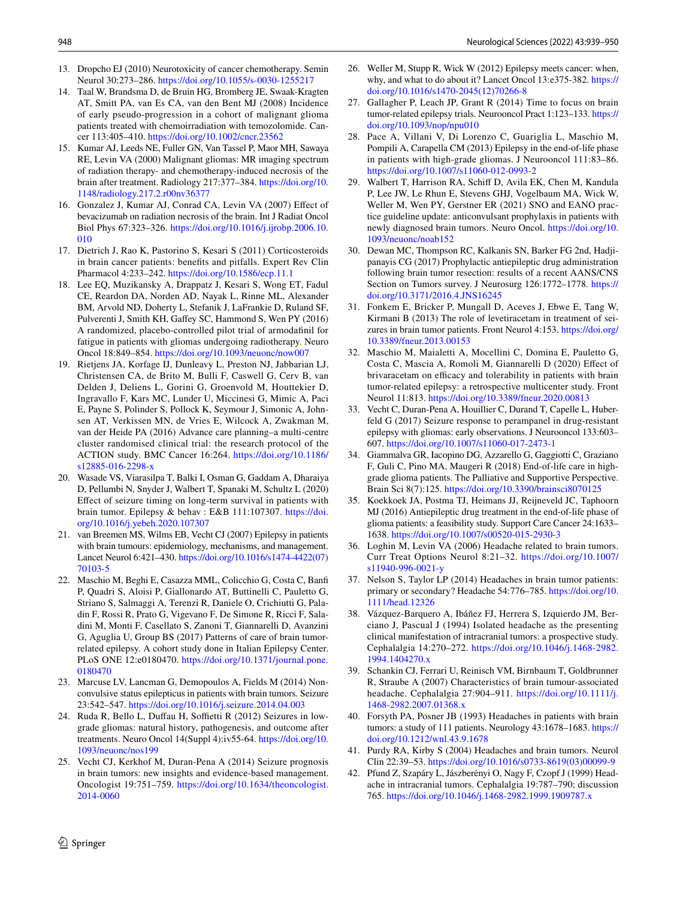- <span id="page-10-0"></span>13. Dropcho EJ (2010) Neurotoxicity of cancer chemotherapy. Semin Neurol 30:273–286.<https://doi.org/10.1055/s-0030-1255217>
- <span id="page-10-1"></span>14. Taal W, Brandsma D, de Bruin HG, Bromberg JE, Swaak-Kragten AT, Smitt PA, van Es CA, van den Bent MJ (2008) Incidence of early pseudo-progression in a cohort of malignant glioma patients treated with chemoirradiation with temozolomide. Cancer 113:405–410.<https://doi.org/10.1002/cncr.23562>
- <span id="page-10-2"></span>15. Kumar AJ, Leeds NE, Fuller GN, Van Tassel P, Maor MH, Sawaya RE, Levin VA (2000) Malignant gliomas: MR imaging spectrum of radiation therapy- and chemotherapy-induced necrosis of the brain after treatment. Radiology 217:377–384. [https://doi.org/10.](https://doi.org/10.1148/radiology.217.2.r00nv36377) [1148/radiology.217.2.r00nv36377](https://doi.org/10.1148/radiology.217.2.r00nv36377)
- <span id="page-10-3"></span>16. Gonzalez J, Kumar AJ, Conrad CA, Levin VA (2007) Efect of bevacizumab on radiation necrosis of the brain. Int J Radiat Oncol Biol Phys 67:323–326. [https://doi.org/10.1016/j.ijrobp.2006.10.](https://doi.org/10.1016/j.ijrobp.2006.10.010) [010](https://doi.org/10.1016/j.ijrobp.2006.10.010)
- <span id="page-10-4"></span>17. Dietrich J, Rao K, Pastorino S, Kesari S (2011) Corticosteroids in brain cancer patients: benefts and pitfalls. Expert Rev Clin Pharmacol 4:233–242.<https://doi.org/10.1586/ecp.11.1>
- <span id="page-10-5"></span>18. Lee EQ, Muzikansky A, Drappatz J, Kesari S, Wong ET, Fadul CE, Reardon DA, Norden AD, Nayak L, Rinne ML, Alexander BM, Arvold ND, Doherty L, Stefanik J, LaFrankie D, Ruland SF, Pulverenti J, Smith KH, Gaffey SC, Hammond S, Wen PY (2016) A randomized, placebo-controlled pilot trial of armodafnil for fatigue in patients with gliomas undergoing radiotherapy. Neuro Oncol 18:849–854.<https://doi.org/10.1093/neuonc/now007>
- <span id="page-10-6"></span>19. Rietjens JA, Korfage IJ, Dunleavy L, Preston NJ, Jabbarian LJ, Christensen CA, de Brito M, Bulli F, Caswell G, Cerv B, van Delden J, Deliens L, Gorini G, Groenvold M, Houttekier D, Ingravallo F, Kars MC, Lunder U, Miccinesi G, Mimic A, Paci E, Payne S, Polinder S, Pollock K, Seymour J, Simonic A, Johnsen AT, Verkissen MN, de Vries E, Wilcock A, Zwakman M, van der Heide PA (2016) Advance care planning–a multi-centre cluster randomised clinical trial: the research protocol of the ACTION study. BMC Cancer 16:264. [https://doi.org/10.1186/](https://doi.org/10.1186/s12885-016-2298-x) [s12885-016-2298-x](https://doi.org/10.1186/s12885-016-2298-x)
- <span id="page-10-7"></span>20. Wasade VS, Viarasilpa T, Balki I, Osman G, Gaddam A, Dharaiya D, Pellumbi N, Snyder J, Walbert T, Spanaki M, Schultz L (2020) Efect of seizure timing on long-term survival in patients with brain tumor. Epilepsy & behav : E&B 111:107307. [https://doi.](https://doi.org/10.1016/j.yebeh.2020.107307) [org/10.1016/j.yebeh.2020.107307](https://doi.org/10.1016/j.yebeh.2020.107307)
- <span id="page-10-8"></span>21. van Breemen MS, Wilms EB, Vecht CJ (2007) Epilepsy in patients with brain tumours: epidemiology, mechanisms, and management. Lancet Neurol 6:421–430. [https://doi.org/10.1016/s1474-4422\(07\)](https://doi.org/10.1016/s1474-4422(07)70103-5) [70103-5](https://doi.org/10.1016/s1474-4422(07)70103-5)
- <span id="page-10-9"></span>22. Maschio M, Beghi E, Casazza MML, Colicchio G, Costa C, Banf P, Quadri S, Aloisi P, Giallonardo AT, Buttinelli C, Pauletto G, Striano S, Salmaggi A, Terenzi R, Daniele O, Crichiutti G, Paladin F, Rossi R, Prato G, Vigevano F, De Simone R, Ricci F, Saladini M, Monti F, Casellato S, Zanoni T, Giannarelli D, Avanzini G, Aguglia U, Group BS (2017) Patterns of care of brain tumorrelated epilepsy. A cohort study done in Italian Epilepsy Center. PLoS ONE 12:e0180470. [https://doi.org/10.1371/journal.pone.](https://doi.org/10.1371/journal.pone.0180470) [0180470](https://doi.org/10.1371/journal.pone.0180470)
- <span id="page-10-10"></span>23. Marcuse LV, Lancman G, Demopoulos A, Fields M (2014) Nonconvulsive status epilepticus in patients with brain tumors. Seizure 23:542–547.<https://doi.org/10.1016/j.seizure.2014.04.003>
- <span id="page-10-11"></span>24. Ruda R, Bello L, Duffau H, Soffietti R (2012) Seizures in lowgrade gliomas: natural history, pathogenesis, and outcome after treatments. Neuro Oncol 14(Suppl 4):iv55-64. [https://doi.org/10.](https://doi.org/10.1093/neuonc/nos199) [1093/neuonc/nos199](https://doi.org/10.1093/neuonc/nos199)
- <span id="page-10-12"></span>25. Vecht CJ, Kerkhof M, Duran-Pena A (2014) Seizure prognosis in brain tumors: new insights and evidence-based management. Oncologist 19:751–759. [https://doi.org/10.1634/theoncologist.](https://doi.org/10.1634/theoncologist.2014-0060) [2014-0060](https://doi.org/10.1634/theoncologist.2014-0060)
- <span id="page-10-13"></span>26. Weller M, Stupp R, Wick W (2012) Epilepsy meets cancer: when, why, and what to do about it? Lancet Oncol 13:e375-382. [https://](https://doi.org/10.1016/s1470-2045(12)70266-8) [doi.org/10.1016/s1470-2045\(12\)70266-8](https://doi.org/10.1016/s1470-2045(12)70266-8)
- <span id="page-10-14"></span>27. Gallagher P, Leach JP, Grant R (2014) Time to focus on brain tumor-related epilepsy trials. Neurooncol Pract 1:123–133. [https://](https://doi.org/10.1093/nop/npu010) [doi.org/10.1093/nop/npu010](https://doi.org/10.1093/nop/npu010)
- <span id="page-10-15"></span>28. Pace A, Villani V, Di Lorenzo C, Guariglia L, Maschio M, Pompili A, Carapella CM (2013) Epilepsy in the end-of-life phase in patients with high-grade gliomas. J Neurooncol 111:83–86. <https://doi.org/10.1007/s11060-012-0993-2>
- <span id="page-10-16"></span>29. Walbert T, Harrison RA, Schif D, Avila EK, Chen M, Kandula P, Lee JW, Le Rhun E, Stevens GHJ, Vogelbaum MA, Wick W, Weller M, Wen PY, Gerstner ER (2021) SNO and EANO practice guideline update: anticonvulsant prophylaxis in patients with newly diagnosed brain tumors. Neuro Oncol. [https://doi.org/10.](https://doi.org/10.1093/neuonc/noab152) [1093/neuonc/noab152](https://doi.org/10.1093/neuonc/noab152)
- <span id="page-10-17"></span>30. Dewan MC, Thompson RC, Kalkanis SN, Barker FG 2nd, Hadjipanayis CG (2017) Prophylactic antiepileptic drug administration following brain tumor resection: results of a recent AANS/CNS Section on Tumors survey. J Neurosurg 126:1772–1778. [https://](https://doi.org/10.3171/2016.4.JNS16245) [doi.org/10.3171/2016.4.JNS16245](https://doi.org/10.3171/2016.4.JNS16245)
- <span id="page-10-18"></span>31. Fonkem E, Bricker P, Mungall D, Aceves J, Ebwe E, Tang W, Kirmani B (2013) The role of levetiracetam in treatment of seizures in brain tumor patients. Front Neurol 4:153. [https://doi.org/](https://doi.org/10.3389/fneur.2013.00153) [10.3389/fneur.2013.00153](https://doi.org/10.3389/fneur.2013.00153)
- <span id="page-10-19"></span>32. Maschio M, Maialetti A, Mocellini C, Domina E, Pauletto G, Costa C, Mascia A, Romoli M, Giannarelli D (2020) Efect of brivaracetam on efficacy and tolerability in patients with brain tumor-related epilepsy: a retrospective multicenter study. Front Neurol 11:813.<https://doi.org/10.3389/fneur.2020.00813>
- <span id="page-10-20"></span>33. Vecht C, Duran-Pena A, Houillier C, Durand T, Capelle L, Huberfeld G (2017) Seizure response to perampanel in drug-resistant epilepsy with gliomas: early observations. J Neurooncol 133:603– 607.<https://doi.org/10.1007/s11060-017-2473-1>
- <span id="page-10-21"></span>34. Giammalva GR, Iacopino DG, Azzarello G, Gaggiotti C, Graziano F, Guli C, Pino MA, Maugeri R (2018) End-of-life care in highgrade glioma patients. The Palliative and Supportive Perspective. Brain Sci 8(7):125.<https://doi.org/10.3390/brainsci8070125>
- <span id="page-10-22"></span>35. Koekkoek JA, Postma TJ, Heimans JJ, Reijneveld JC, Taphoorn MJ (2016) Antiepileptic drug treatment in the end-of-life phase of glioma patients: a feasibility study. Support Care Cancer 24:1633– 1638. <https://doi.org/10.1007/s00520-015-2930-3>
- <span id="page-10-23"></span>36. Loghin M, Levin VA (2006) Headache related to brain tumors. Curr Treat Options Neurol 8:21–32. [https://doi.org/10.1007/](https://doi.org/10.1007/s11940-996-0021-y) [s11940-996-0021-y](https://doi.org/10.1007/s11940-996-0021-y)
- <span id="page-10-24"></span>37. Nelson S, Taylor LP (2014) Headaches in brain tumor patients: primary or secondary? Headache 54:776–785. [https://doi.org/10.](https://doi.org/10.1111/head.12326) [1111/head.12326](https://doi.org/10.1111/head.12326)
- <span id="page-10-25"></span>38. Vázquez-Barquero A, Ibáñez FJ, Herrera S, Izquierdo JM, Berciano J, Pascual J (1994) Isolated headache as the presenting clinical manifestation of intracranial tumors: a prospective study. Cephalalgia 14:270–272. [https://doi.org/10.1046/j.1468-2982.](https://doi.org/10.1046/j.1468-2982.1994.1404270.x) [1994.1404270.x](https://doi.org/10.1046/j.1468-2982.1994.1404270.x)
- <span id="page-10-26"></span>39. Schankin CJ, Ferrari U, Reinisch VM, Birnbaum T, Goldbrunner R, Straube A (2007) Characteristics of brain tumour-associated headache. Cephalalgia 27:904–911. [https://doi.org/10.1111/j.](https://doi.org/10.1111/j.1468-2982.2007.01368.x) [1468-2982.2007.01368.x](https://doi.org/10.1111/j.1468-2982.2007.01368.x)
- <span id="page-10-28"></span>40. Forsyth PA, Posner JB (1993) Headaches in patients with brain tumors: a study of 111 patients. Neurology 43:1678–1683. [https://](https://doi.org/10.1212/wnl.43.9.1678) [doi.org/10.1212/wnl.43.9.1678](https://doi.org/10.1212/wnl.43.9.1678)
- <span id="page-10-27"></span>41. Purdy RA, Kirby S (2004) Headaches and brain tumors. Neurol Clin 22:39–53. [https://doi.org/10.1016/s0733-8619\(03\)00099-9](https://doi.org/10.1016/s0733-8619(03)00099-9)
- <span id="page-10-29"></span>42. Pfund Z, Szapáry L, Jászberényi O, Nagy F, Czopf J (1999) Headache in intracranial tumors. Cephalalgia 19:787–790; discussion 765.<https://doi.org/10.1046/j.1468-2982.1999.1909787.x>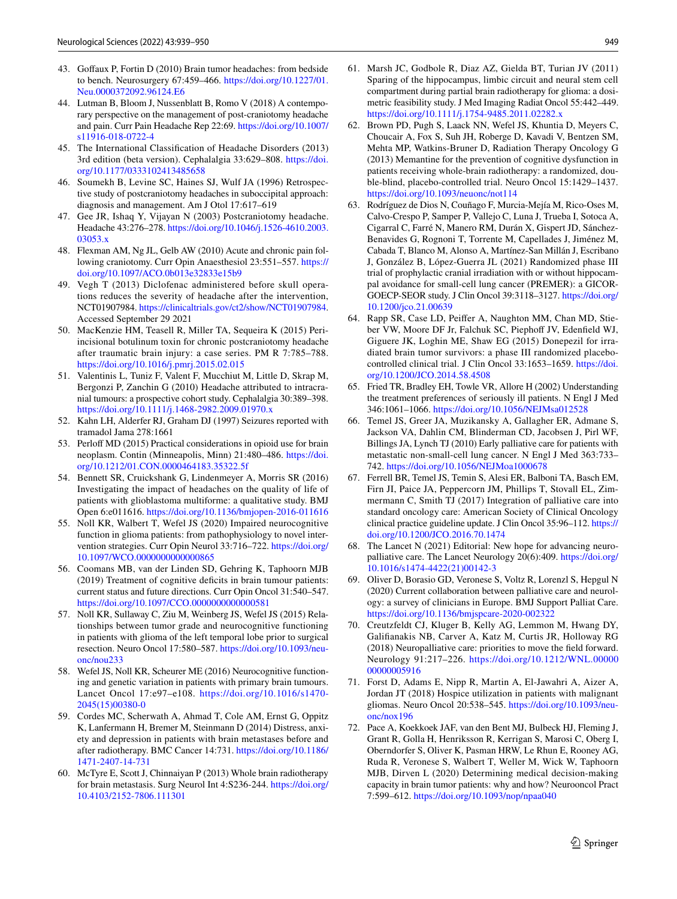- <span id="page-11-0"></span>43. Gofaux P, Fortin D (2010) Brain tumor headaches: from bedside to bench. Neurosurgery 67:459–466. [https://doi.org/10.1227/01.](https://doi.org/10.1227/01.Neu.0000372092.96124.E6) [Neu.0000372092.96124.E6](https://doi.org/10.1227/01.Neu.0000372092.96124.E6)
- <span id="page-11-1"></span>44. Lutman B, Bloom J, Nussenblatt B, Romo V (2018) A contemporary perspective on the management of post-craniotomy headache and pain. Curr Pain Headache Rep 22:69. [https://doi.org/10.1007/](https://doi.org/10.1007/s11916-018-0722-4) [s11916-018-0722-4](https://doi.org/10.1007/s11916-018-0722-4)
- <span id="page-11-2"></span>45. The International Classifcation of Headache Disorders (2013) 3rd edition (beta version). Cephalalgia 33:629–808. [https://doi.](https://doi.org/10.1177/0333102413485658) [org/10.1177/0333102413485658](https://doi.org/10.1177/0333102413485658)
- <span id="page-11-3"></span>46. Soumekh B, Levine SC, Haines SJ, Wulf JA (1996) Retrospective study of postcraniotomy headaches in suboccipital approach: diagnosis and management. Am J Otol 17:617–619
- <span id="page-11-4"></span>47. Gee JR, Ishaq Y, Vijayan N (2003) Postcraniotomy headache. Headache 43:276–278. [https://doi.org/10.1046/j.1526-4610.2003.](https://doi.org/10.1046/j.1526-4610.2003.03053.x) [03053.x](https://doi.org/10.1046/j.1526-4610.2003.03053.x)
- <span id="page-11-5"></span>48. Flexman AM, Ng JL, Gelb AW (2010) Acute and chronic pain following craniotomy. Curr Opin Anaesthesiol 23:551–557. [https://](https://doi.org/10.1097/ACO.0b013e32833e15b9) [doi.org/10.1097/ACO.0b013e32833e15b9](https://doi.org/10.1097/ACO.0b013e32833e15b9)
- <span id="page-11-7"></span>49. Vegh T (2013) Diclofenac administered before skull operations reduces the severity of headache after the intervention, NCT01907984. [https://clinicaltrials.gov/ct2/show/NCT01907984.](https://clinicaltrials.gov/ct2/show/NCT01907984) Accessed September 29 2021
- <span id="page-11-8"></span>50. MacKenzie HM, Teasell R, Miller TA, Sequeira K (2015) Periincisional botulinum toxin for chronic postcraniotomy headache after traumatic brain injury: a case series. PM R 7:785–788. <https://doi.org/10.1016/j.pmrj.2015.02.015>
- <span id="page-11-9"></span>51. Valentinis L, Tuniz F, Valent F, Mucchiut M, Little D, Skrap M, Bergonzi P, Zanchin G (2010) Headache attributed to intracranial tumours: a prospective cohort study. Cephalalgia 30:389–398. <https://doi.org/10.1111/j.1468-2982.2009.01970.x>
- <span id="page-11-10"></span>52. Kahn LH, Alderfer RJ, Graham DJ (1997) Seizures reported with tramadol Jama 278:1661
- <span id="page-11-11"></span>53. Perloff MD (2015) Practical considerations in opioid use for brain neoplasm. Contin (Minneapolis, Minn) 21:480–486. [https://doi.](https://doi.org/10.1212/01.CON.0000464183.35322.5f) [org/10.1212/01.CON.0000464183.35322.5f](https://doi.org/10.1212/01.CON.0000464183.35322.5f)
- <span id="page-11-12"></span>54. Bennett SR, Cruickshank G, Lindenmeyer A, Morris SR (2016) Investigating the impact of headaches on the quality of life of patients with glioblastoma multiforme: a qualitative study. BMJ Open 6:e011616.<https://doi.org/10.1136/bmjopen-2016-011616>
- <span id="page-11-13"></span>55. Noll KR, Walbert T, Wefel JS (2020) Impaired neurocognitive function in glioma patients: from pathophysiology to novel intervention strategies. Curr Opin Neurol 33:716–722. [https://doi.org/](https://doi.org/10.1097/WCO.0000000000000865) [10.1097/WCO.0000000000000865](https://doi.org/10.1097/WCO.0000000000000865)
- <span id="page-11-6"></span>56. Coomans MB, van der Linden SD, Gehring K, Taphoorn MJB (2019) Treatment of cognitive deficits in brain tumour patients: current status and future directions. Curr Opin Oncol 31:540–547. <https://doi.org/10.1097/CCO.0000000000000581>
- <span id="page-11-14"></span>57. Noll KR, Sullaway C, Ziu M, Weinberg JS, Wefel JS (2015) Relationships between tumor grade and neurocognitive functioning in patients with glioma of the left temporal lobe prior to surgical resection. Neuro Oncol 17:580–587. [https://doi.org/10.1093/neu](https://doi.org/10.1093/neuonc/nou233)[onc/nou233](https://doi.org/10.1093/neuonc/nou233)
- <span id="page-11-15"></span>58. Wefel JS, Noll KR, Scheurer ME (2016) Neurocognitive functioning and genetic variation in patients with primary brain tumours. Lancet Oncol 17:e97–e108. [https://doi.org/10.1016/s1470-](https://doi.org/10.1016/s1470-2045(15)00380-0) [2045\(15\)00380-0](https://doi.org/10.1016/s1470-2045(15)00380-0)
- <span id="page-11-16"></span>59. Cordes MC, Scherwath A, Ahmad T, Cole AM, Ernst G, Oppitz K, Lanfermann H, Bremer M, Steinmann D (2014) Distress, anxiety and depression in patients with brain metastases before and after radiotherapy. BMC Cancer 14:731. [https://doi.org/10.1186/](https://doi.org/10.1186/1471-2407-14-731) [1471-2407-14-731](https://doi.org/10.1186/1471-2407-14-731)
- <span id="page-11-17"></span>60. McTyre E, Scott J, Chinnaiyan P (2013) Whole brain radiotherapy for brain metastasis. Surg Neurol Int 4:S236-244. [https://doi.org/](https://doi.org/10.4103/2152-7806.111301) [10.4103/2152-7806.111301](https://doi.org/10.4103/2152-7806.111301)
- <span id="page-11-18"></span>61. Marsh JC, Godbole R, Diaz AZ, Gielda BT, Turian JV (2011) Sparing of the hippocampus, limbic circuit and neural stem cell compartment during partial brain radiotherapy for glioma: a dosimetric feasibility study. J Med Imaging Radiat Oncol 55:442–449. <https://doi.org/10.1111/j.1754-9485.2011.02282.x>
- <span id="page-11-19"></span>62. Brown PD, Pugh S, Laack NN, Wefel JS, Khuntia D, Meyers C, Choucair A, Fox S, Suh JH, Roberge D, Kavadi V, Bentzen SM, Mehta MP, Watkins-Bruner D, Radiation Therapy Oncology G (2013) Memantine for the prevention of cognitive dysfunction in patients receiving whole-brain radiotherapy: a randomized, double-blind, placebo-controlled trial. Neuro Oncol 15:1429–1437. <https://doi.org/10.1093/neuonc/not114>
- <span id="page-11-20"></span>63. Rodríguez de Dios N, Couñago F, Murcia-Mejía M, Rico-Oses M, Calvo-Crespo P, Samper P, Vallejo C, Luna J, Trueba I, Sotoca A, Cigarral C, Farré N, Manero RM, Durán X, Gispert JD, Sánchez-Benavides G, Rognoni T, Torrente M, Capellades J, Jiménez M, Cabada T, Blanco M, Alonso A, Martínez-San Millán J, Escribano J, González B, López-Guerra JL (2021) Randomized phase III trial of prophylactic cranial irradiation with or without hippocampal avoidance for small-cell lung cancer (PREMER): a GICOR-GOECP-SEOR study. J Clin Oncol 39:3118–3127. [https://doi.org/](https://doi.org/10.1200/jco.21.00639) [10.1200/jco.21.00639](https://doi.org/10.1200/jco.21.00639)
- <span id="page-11-21"></span>64. Rapp SR, Case LD, Peifer A, Naughton MM, Chan MD, Stieber VW, Moore DF Jr, Falchuk SC, Piephoff JV, Edenfield WJ, Giguere JK, Loghin ME, Shaw EG (2015) Donepezil for irradiated brain tumor survivors: a phase III randomized placebocontrolled clinical trial. J Clin Oncol 33:1653–1659. [https://doi.](https://doi.org/10.1200/JCO.2014.58.4508) [org/10.1200/JCO.2014.58.4508](https://doi.org/10.1200/JCO.2014.58.4508)
- <span id="page-11-22"></span>65. Fried TR, Bradley EH, Towle VR, Allore H (2002) Understanding the treatment preferences of seriously ill patients. N Engl J Med 346:1061–1066.<https://doi.org/10.1056/NEJMsa012528>
- <span id="page-11-23"></span>66. Temel JS, Greer JA, Muzikansky A, Gallagher ER, Admane S, Jackson VA, Dahlin CM, Blinderman CD, Jacobsen J, Pirl WF, Billings JA, Lynch TJ (2010) Early palliative care for patients with metastatic non-small-cell lung cancer. N Engl J Med 363:733– 742.<https://doi.org/10.1056/NEJMoa1000678>
- <span id="page-11-24"></span>67. Ferrell BR, Temel JS, Temin S, Alesi ER, Balboni TA, Basch EM, Firn JI, Paice JA, Peppercorn JM, Phillips T, Stovall EL, Zimmermann C, Smith TJ (2017) Integration of palliative care into standard oncology care: American Society of Clinical Oncology clinical practice guideline update. J Clin Oncol 35:96–112. [https://](https://doi.org/10.1200/JCO.2016.70.1474) [doi.org/10.1200/JCO.2016.70.1474](https://doi.org/10.1200/JCO.2016.70.1474)
- <span id="page-11-25"></span>68. The Lancet N (2021) Editorial: New hope for advancing neuropalliative care. The Lancet Neurology 20(6):409. [https://doi.org/](https://doi.org/10.1016/s1474-4422(21)00142-3) [10.1016/s1474-4422\(21\)00142-3](https://doi.org/10.1016/s1474-4422(21)00142-3)
- <span id="page-11-26"></span>69. Oliver D, Borasio GD, Veronese S, Voltz R, Lorenzl S, Hepgul N (2020) Current collaboration between palliative care and neurology: a survey of clinicians in Europe. BMJ Support Palliat Care. <https://doi.org/10.1136/bmjspcare-2020-002322>
- <span id="page-11-27"></span>70. Creutzfeldt CJ, Kluger B, Kelly AG, Lemmon M, Hwang DY, Galifanakis NB, Carver A, Katz M, Curtis JR, Holloway RG (2018) Neuropalliative care: priorities to move the feld forward. Neurology 91:217–226. [https://doi.org/10.1212/WNL.00000](https://doi.org/10.1212/WNL.0000000000005916) [00000005916](https://doi.org/10.1212/WNL.0000000000005916)
- <span id="page-11-28"></span>71. Forst D, Adams E, Nipp R, Martin A, El-Jawahri A, Aizer A, Jordan JT (2018) Hospice utilization in patients with malignant gliomas. Neuro Oncol 20:538–545. [https://doi.org/10.1093/neu](https://doi.org/10.1093/neuonc/nox196)[onc/nox196](https://doi.org/10.1093/neuonc/nox196)
- <span id="page-11-29"></span>72. Pace A, Koekkoek JAF, van den Bent MJ, Bulbeck HJ, Fleming J, Grant R, Golla H, Henriksson R, Kerrigan S, Marosi C, Oberg I, Oberndorfer S, Oliver K, Pasman HRW, Le Rhun E, Rooney AG, Ruda R, Veronese S, Walbert T, Weller M, Wick W, Taphoorn MJB, Dirven L (2020) Determining medical decision-making capacity in brain tumor patients: why and how? Neurooncol Pract 7:599–612.<https://doi.org/10.1093/nop/npaa040>